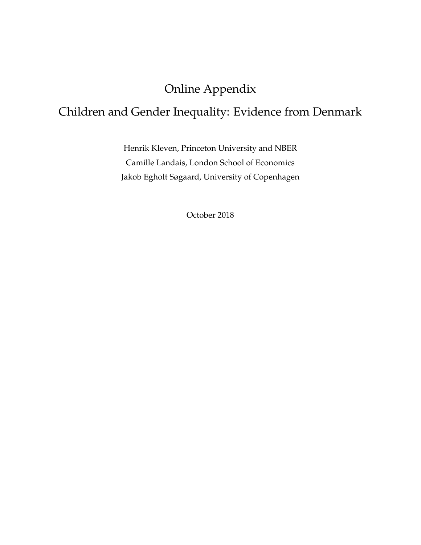# Online Appendix

# Children and Gender Inequality: Evidence from Denmark

Henrik Kleven, Princeton University and NBER Camille Landais, London School of Economics Jakob Egholt Søgaard, University of Copenhagen

October 2018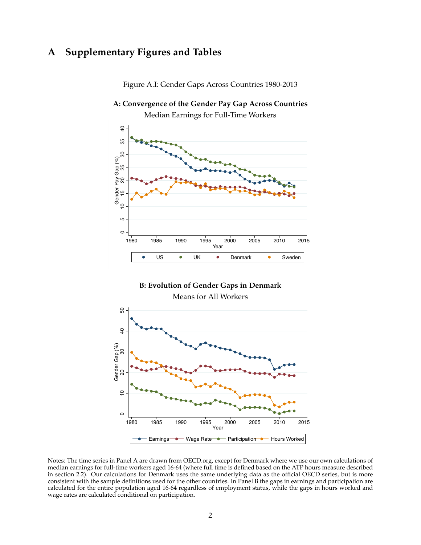# **A Supplementary Figures and Tables**



Figure A.I: Gender Gaps Across Countries 1980-2013

**A: Convergence of the Gender Pay Gap Across Countries**



Notes: The time series in Panel A are drawn from OECD.org, except for Denmark where we use our own calculations of median earnings for full-time workers aged 16-64 (where full time is defined based on the ATP hours measure described in section 2.2). Our calculations for Denmark uses the same underlying data as the official OECD series, but is more consistent with the sample definitions used for the other countries. In Panel B the gaps in earnings and participation are calculated for the entire population aged 16-64 regardless of employment status, while the gaps in hours worked and wage rates are calculated conditional on participation.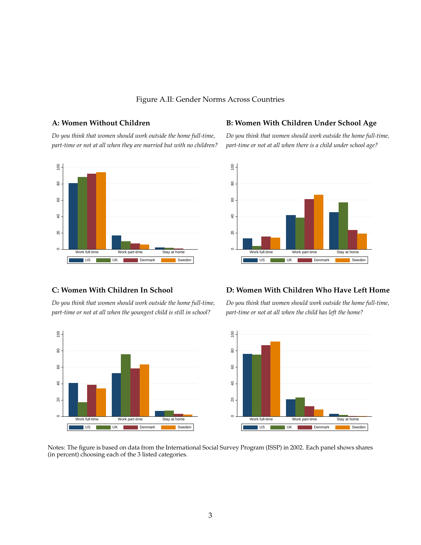### Figure A.II: Gender Norms Across Countries

*part-time or not at all when they are married but with no children? part-time or not at all when there is a child under school age?*



### A: Women Without Children **B: Women With Children Under School Age**

*Do you think that women should work outside the home full-time, Do you think that women should work outside the home full-time,*



*part-time or not at all when the youngest child is still in school? part-time or not at all when the child has left the home?*

# $\circ$

### **C: Women With Children In School D: Women With Children Who Have Left Home**

*Do you think that women should work outside the home full-time, Do you think that women should work outside the home full-time,*



Notes: The figure is based on data from the International Social Survey Program (ISSP) in 2002. Each panel shows shares (in percent) choosing each of the 3 listed categories.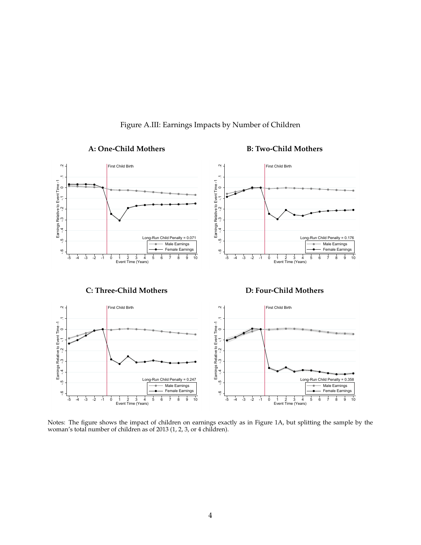

<span id="page-3-0"></span>Figure A.III: Earnings Impacts by Number of Children

Notes: The figure shows the impact of children on earnings exactly as in Figure 1A, but splitting the sample by the woman's total number of children as of 2013 (1, 2, 3, or 4 children).

### A: One-Child Mothers **B: Two-Child Mothers**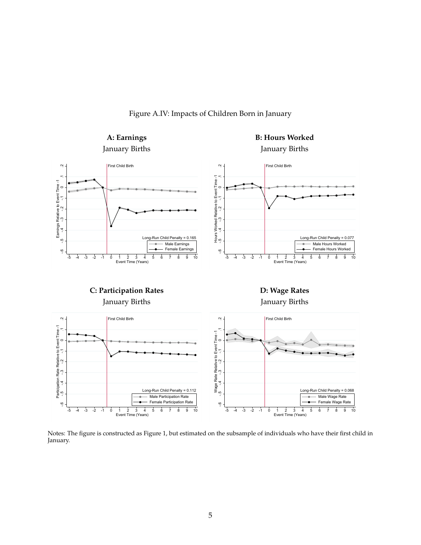Figure A.IV: Impacts of Children Born in January



Notes: The figure is constructed as Figure 1, but estimated on the subsample of individuals who have their first child in January.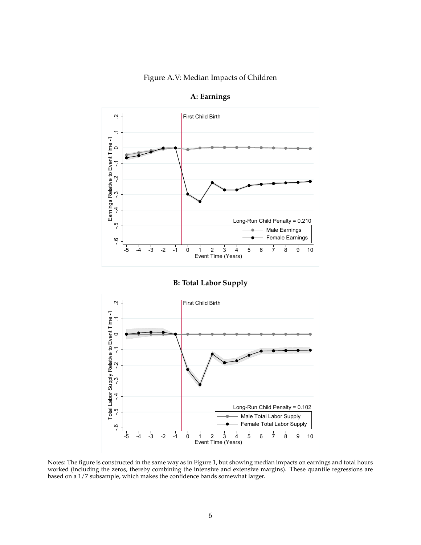### Figure A.V: Median Impacts of Children



**A: Earnings**

**B: Total Labor Supply**



Notes: The figure is constructed in the same way as in Figure 1, but showing median impacts on earnings and total hours worked (including the zeros, thereby combining the intensive and extensive margins). These quantile regressions are based on a 1/7 subsample, which makes the confidence bands somewhat larger.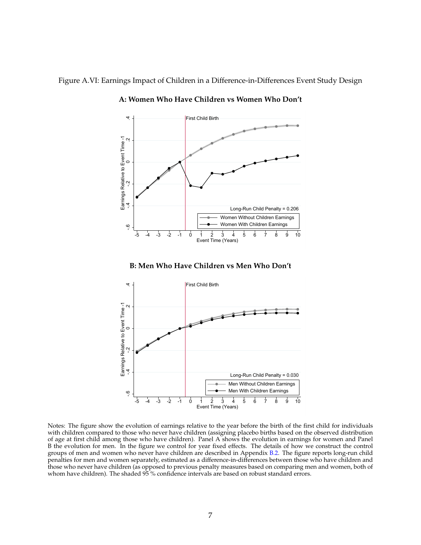Figure A.VI: Earnings Impact of Children in a Difference-in-Differences Event Study Design



<span id="page-6-0"></span>**A: Women Who Have Children vs Women Who Don't**

### **B: Men Who Have Children vs Men Who Don't**



Notes: The figure show the evolution of earnings relative to the year before the birth of the first child for individuals with children compared to those who never have children (assigning placebo births based on the observed distribution of age at first child among those who have children). Panel A shows the evolution in earnings for women and Panel B the evolution for men. In the figure we control for year fixed effects. The details of how we construct the control groups of men and women who never have children are described in Appendix [B.2.](#page-14-0) The figure reports long-run child penalties for men and women separately, estimated as a difference-in-differences between those who have children and those who never have children (as opposed to previous penalty measures based on comparing men and women, both of whom have children). The shaded 95% confidence intervals are based on robust standard errors.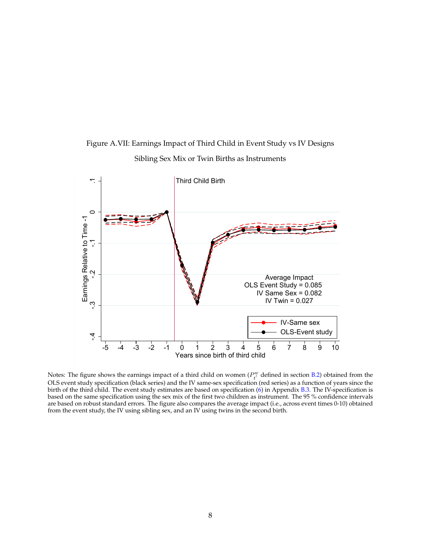

<span id="page-7-0"></span>Figure A.VII: Earnings Impact of Third Child in Event Study vs IV Designs Sibling Sex Mix or Twin Births as Instruments

Notes: The figure shows the earnings impact of a third child on women ( $P_t^w$  defined in section [B.2\)](#page-14-0) obtained from the OLS event study specification (black series) and the IV same-sex specification (red series) as a function of years since the birth of the third child. The event study estimates are based on specification  $(6)$  in Appendix [B.3.](#page-16-1) The IV-specification is based on the same specification using the sex mix of the first two children as instrument. The 95 % confidence intervals are based on robust standard errors. The figure also compares the average impact (i.e., across event times 0-10) obtained from the event study, the IV using sibling sex, and an IV using twins in the second birth.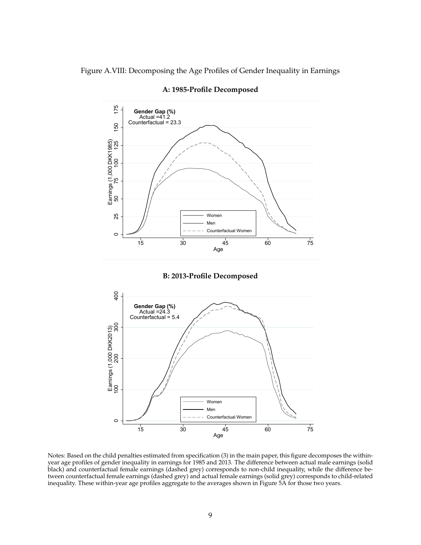Figure A.VIII: Decomposing the Age Profiles of Gender Inequality in Earnings



**A: 1985-Profile Decomposed**





Notes: Based on the child penalties estimated from specification (3) in the main paper, this figure decomposes the withinyear age profiles of gender inequality in earnings for 1985 and 2013. The difference between actual male earnings (solid black) and counterfactual female earnings (dashed grey) corresponds to non-child inequality, while the difference between counterfactual female earnings (dashed grey) and actual female earnings (solid grey) corresponds to child-related inequality. These within-year age profiles aggregate to the averages shown in Figure 5A for those two years.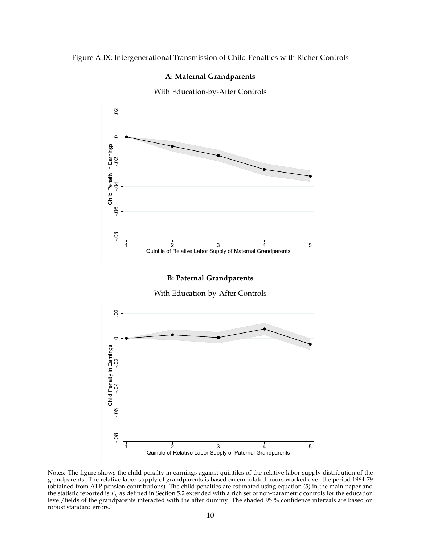### Figure A.IX: Intergenerational Transmission of Child Penalties with Richer Controls

### <span id="page-9-0"></span>**A: Maternal Grandparents**

With Education-by-After Controls



Notes: The figure shows the child penalty in earnings against quintiles of the relative labor supply distribution of the grandparents. The relative labor supply of grandparents is based on cumulated hours worked over the period 1964-79 (obtained from ATP pension contributions). The child penalties are estimated using equation (5) in the main paper and the statistic reported is  $P_q$  as defined in Section 5.2 extended with a rich set of non-parametric controls for the education level/fields of the grandparents interacted with the after dummy. The shaded  $95\%$  confidence intervals are based on robust standard errors.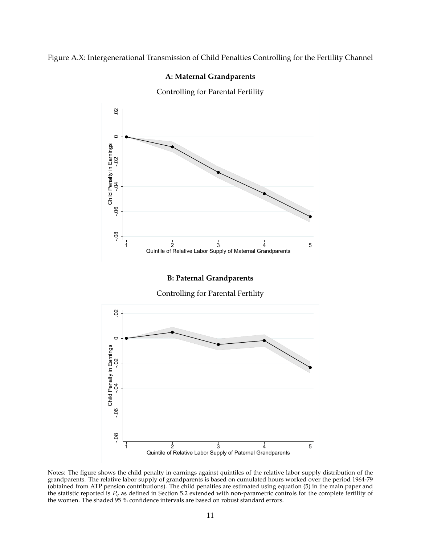### Figure A.X: Intergenerational Transmission of Child Penalties Controlling for the Fertility Channel

### <span id="page-10-0"></span>**A: Maternal Grandparents**

Controlling for Parental Fertility



Notes: The figure shows the child penalty in earnings against quintiles of the relative labor supply distribution of the grandparents. The relative labor supply of grandparents is based on cumulated hours worked over the period 1964-79 (obtained from ATP pension contributions). The child penalties are estimated using equation (5) in the main paper and the statistic reported is  $P_q$  as defined in Section 5.2 extended with non-parametric controls for the complete fertility of the women. The shaded  $95\%$  confidence intervals are based on robust standard errors.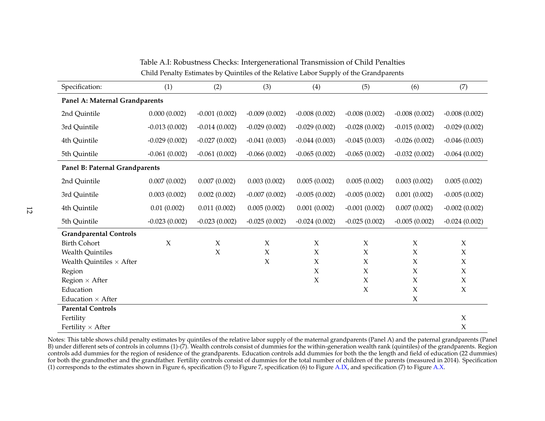Table A.I: Robustness Checks: Intergenerational Transmission of Child PenaltiesChild Penalty Estimates by Quintiles of the Relative Labor Supply of the Grandparents

| Specification:                  | (1)             | (2)             | (3)             | (4)             | (5)             | (6)             | (7)                 |
|---------------------------------|-----------------|-----------------|-----------------|-----------------|-----------------|-----------------|---------------------|
| Panel A: Maternal Grandparents  |                 |                 |                 |                 |                 |                 |                     |
| 2nd Quintile                    | 0.000(0.002)    | $-0.001(0.002)$ | $-0.009(0.002)$ | $-0.008(0.002)$ | $-0.008(0.002)$ | $-0.008(0.002)$ | $-0.008(0.002)$     |
| 3rd Quintile                    | $-0.013(0.002)$ | $-0.014(0.002)$ | $-0.029(0.002)$ | $-0.029(0.002)$ | $-0.028(0.002)$ | $-0.015(0.002)$ | $-0.029(0.002)$     |
| 4th Quintile                    | $-0.029(0.002)$ | $-0.027(0.002)$ | $-0.041(0.003)$ | $-0.044(0.003)$ | $-0.045(0.003)$ | $-0.026(0.002)$ | $-0.046(0.003)$     |
| 5th Quintile                    | $-0.061(0.002)$ | $-0.061(0.002)$ | $-0.066(0.002)$ | $-0.065(0.002)$ | $-0.065(0.002)$ | $-0.032(0.002)$ | $-0.064(0.002)$     |
| Panel B: Paternal Grandparents  |                 |                 |                 |                 |                 |                 |                     |
| 2nd Quintile                    | 0.007(0.002)    | 0.007(0.002)    | 0.003(0.002)    | 0.005(0.002)    | 0.005(0.002)    | 0.003(0.002)    | 0.005(0.002)        |
| 3rd Quintile                    | 0.003(0.002)    | 0.002(0.002)    | $-0.007(0.002)$ | $-0.005(0.002)$ | $-0.005(0.002)$ | 0.001(0.002)    | $-0.005(0.002)$     |
| 4th Quintile                    | 0.01(0.002)     | 0.011(0.002)    | 0.005(0.002)    | 0.001(0.002)    | $-0.001(0.002)$ | 0.007(0.002)    | $-0.002(0.002)$     |
| 5th Quintile                    | $-0.023(0.002)$ | $-0.023(0.002)$ | $-0.025(0.002)$ | $-0.024(0.002)$ | $-0.025(0.002)$ | $-0.005(0.002)$ | $-0.024(0.002)$     |
| <b>Grandparental Controls</b>   |                 |                 |                 |                 |                 |                 |                     |
| <b>Birth Cohort</b>             | $\mathsf X$     | $\chi$          | $\chi$          | $\chi$          | $\mathsf X$     | $\chi$          | $\chi$              |
| <b>Wealth Quintiles</b>         |                 | $\chi$          | $\chi$          | $\chi$          | $\chi$          | $\mathsf X$     | $\chi$              |
| Wealth Quintiles $\times$ After |                 |                 | $\mathsf X$     | X               | $\chi$          | $\mathsf X$     | $\chi$              |
| Region                          |                 |                 |                 | $\chi$          | $\chi$          | $\mathsf X$     | $\boldsymbol{\chi}$ |
| Region $\times$ After           |                 |                 |                 | $\chi$          | $\chi$          | $\chi$          | $\chi$              |
| Education                       |                 |                 |                 |                 | $\mathsf X$     | $\mathsf X$     | $\chi$              |
| Education $\times$ After        |                 |                 |                 |                 |                 | X               |                     |
| <b>Parental Controls</b>        |                 |                 |                 |                 |                 |                 |                     |
| Fertility                       |                 |                 |                 |                 |                 |                 | $\chi$              |
| Fertility $\times$ After        |                 |                 |                 |                 |                 |                 | $\chi$              |

Notes: This table shows child penalty estimates by quintiles of the relative labor supply of the maternal grandparents (Panel A) and the paternal grandparents (Panel B) under different sets of controls in columns (1)-(7). Wealth controls consist of dummies for the within-generation wealth rank (quintiles) of the grandparents. Region controls add dummies for the region of residence of the grandparents. Education controls add dummies for both the the length and field of education (22 dummies) for both the grandmother and the grandfather. Fertility controls consist of dummies for the total number of children of the parents (measured in 2014). Specification(1) corresponds to the estimates shown in Figure 6, specification (5) to Figure 7, specification (6) to Figure [A.IX,](#page-9-0) and specification (7) to Figure [A.X.](#page-10-0)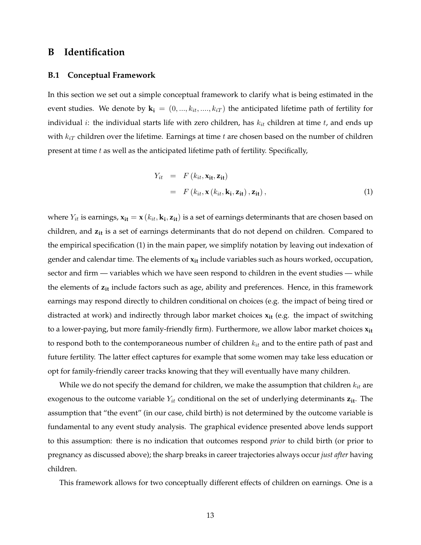## **B Identification**

### **B.1 Conceptual Framework**

In this section we set out a simple conceptual framework to clarify what is being estimated in the event studies. We denote by  $\mathbf{k_i} = (0, ..., k_{it}, ..., k_{iT})$  the anticipated lifetime path of fertility for individual *i*: the individual starts life with zero children, has  $k_{it}$  children at time  $t$ , and ends up with  $k_{iT}$  children over the lifetime. Earnings at time  $t$  are chosen based on the number of children present at time  $t$  as well as the anticipated lifetime path of fertility. Specifically,

<span id="page-12-0"></span>
$$
Y_{it} = F(k_{it}, \mathbf{x}_{it}, \mathbf{z}_{it})
$$
  
=  $F(k_{it}, \mathbf{x}(k_{it}, \mathbf{k}_{i}, \mathbf{z}_{it}), \mathbf{z}_{it}),$  (1)

where  $Y_{it}$  is earnings,  $x_{it} = x$   $(k_{it}, k_i, z_{it})$  is a set of earnings determinants that are chosen based on children, and  $z_{it}$  is a set of earnings determinants that do not depend on children. Compared to the empirical specification (1) in the main paper, we simplify notation by leaving out indexation of gender and calendar time. The elements of **xit** include variables such as hours worked, occupation, sector and firm — variables which we have seen respond to children in the event studies — while the elements of **zit** include factors such as age, ability and preferences. Hence, in this framework earnings may respond directly to children conditional on choices (e.g. the impact of being tired or distracted at work) and indirectly through labor market choices **xit** (e.g. the impact of switching to a lower-paying, but more family-friendly firm). Furthermore, we allow labor market choices **xit** to respond both to the contemporaneous number of children  $k_{it}$  and to the entire path of past and future fertility. The latter effect captures for example that some women may take less education or opt for family-friendly career tracks knowing that they will eventually have many children.

While we do not specify the demand for children, we make the assumption that children  $k_{it}$  are exogenous to the outcome variable  $Y_{it}$  conditional on the set of underlying determinants  $z_{it}$ . The assumption that "the event" (in our case, child birth) is not determined by the outcome variable is fundamental to any event study analysis. The graphical evidence presented above lends support to this assumption: there is no indication that outcomes respond *prior* to child birth (or prior to pregnancy as discussed above); the sharp breaks in career trajectories always occur *just after* having children.

This framework allows for two conceptually different effects of children on earnings. One is a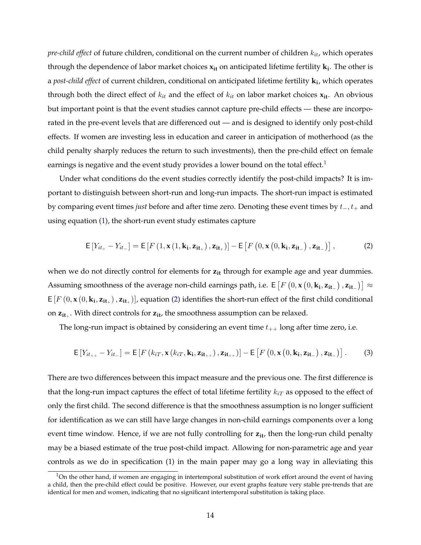*pre-child effect* of future children, conditional on the current number of children  $k_{it}$ , which operates through the dependence of labor market choices **xit** on anticipated lifetime fertility **k<sup>i</sup>** . The other is a *post-child effect* of current children, conditional on anticipated lifetime fertility **k<sup>i</sup>** , which operates through both the direct effect of  $k_{it}$  and the effect of  $k_{it}$  on labor market choices  $\mathbf{x}_{it}$ . An obvious but important point is that the event studies cannot capture pre-child effects — these are incorporated in the pre-event levels that are differenced out — and is designed to identify only post-child effects. If women are investing less in education and career in anticipation of motherhood (as the child penalty sharply reduces the return to such investments), then the pre-child effect on female earnings is negative and the event study provides a lower bound on the total effect.<sup>[1](#page-13-0)</sup>

Under what conditions do the event studies correctly identify the post-child impacts? It is important to distinguish between short-run and long-run impacts. The short-run impact is estimated by comparing event times *just* before and after time zero. Denoting these event times by t−,t<sup>+</sup> and using equation [\(1\)](#page-12-0), the short-run event study estimates capture

<span id="page-13-1"></span>
$$
\mathsf{E}\left[Y_{it_{+}}-Y_{it_{-}}\right] = \mathsf{E}\left[F\left(1, \mathbf{x}\left(1, \mathbf{k}_{i}, \mathbf{z}_{it_{+}}\right), \mathbf{z}_{it_{+}}\right)\right] - \mathsf{E}\left[F\left(0, \mathbf{x}\left(0, \mathbf{k}_{i}, \mathbf{z}_{it_{-}}\right), \mathbf{z}_{it_{-}}\right)\right],\tag{2}
$$

when we do not directly control for elements for  $z_{it}$  through for example age and year dummies. Assuming smoothness of the average non-child earnings path, i.e. E  $[F\left(0,\mathbf{x}\left(0,\mathbf{k_i},\mathbf{z_{it-}}\right),\mathbf{z_{it-}}\right)] \approx$  $E[F(0, x(0, k_i, z_{it_+}), z_{it_+})]$ , equation [\(2\)](#page-13-1) identifies the short-run effect of the first child conditional on **zit**<sup>+</sup> . With direct controls for **zit**, the smoothness assumption can be relaxed.

The long-run impact is obtained by considering an event time  $t_{++}$  long after time zero, i.e.

$$
\mathsf{E}\left[Y_{it_{++}}-Y_{it_{-}}\right] = \mathsf{E}\left[F\left(k_{iT}, \mathbf{x}\left(k_{iT}, \mathbf{k_i}, \mathbf{z_{it_{++}}}\right), \mathbf{z_{it_{++}}}\right)\right] - \mathsf{E}\left[F\left(0, \mathbf{x}\left(0, \mathbf{k_i}, \mathbf{z_{it_{-}}}\right), \mathbf{z_{it_{-}}}\right)\right].\tag{3}
$$

There are two differences between this impact measure and the previous one. The first difference is that the long-run impact captures the effect of total lifetime fertility  $k_{iT}$  as opposed to the effect of only the first child. The second difference is that the smoothness assumption is no longer sufficient for identification as we can still have large changes in non-child earnings components over a long event time window. Hence, if we are not fully controlling for  $z_{it}$ , then the long-run child penalty may be a biased estimate of the true post-child impact. Allowing for non-parametric age and year controls as we do in specification (1) in the main paper may go a long way in alleviating this

<span id="page-13-0"></span> $1$ On the other hand, if women are engaging in intertemporal substitution of work effort around the event of having a child, then the pre-child effect could be positive. However, our event graphs feature very stable pre-trends that are identical for men and women, indicating that no significant intertemporal substitution is taking place.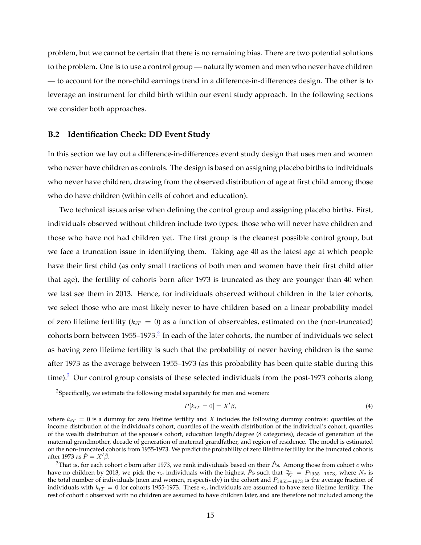problem, but we cannot be certain that there is no remaining bias. There are two potential solutions to the problem. One is to use a control group — naturally women and men who never have children — to account for the non-child earnings trend in a difference-in-differences design. The other is to leverage an instrument for child birth within our event study approach. In the following sections we consider both approaches.

### <span id="page-14-0"></span>**B.2 Identification Check: DD Event Study**

In this section we lay out a difference-in-differences event study design that uses men and women who never have children as controls. The design is based on assigning placebo births to individuals who never have children, drawing from the observed distribution of age at first child among those who do have children (within cells of cohort and education).

Two technical issues arise when defining the control group and assigning placebo births. First, individuals observed without children include two types: those who will never have children and those who have not had children yet. The first group is the cleanest possible control group, but we face a truncation issue in identifying them. Taking age 40 as the latest age at which people have their first child (as only small fractions of both men and women have their first child after that age), the fertility of cohorts born after 1973 is truncated as they are younger than 40 when we last see them in 2013. Hence, for individuals observed without children in the later cohorts, we select those who are most likely never to have children based on a linear probability model of zero lifetime fertility ( $k_{iT} = 0$ ) as a function of observables, estimated on the (non-truncated) cohorts born between 1955–1973. $^2$  $^2$  In each of the later cohorts, the number of individuals we select as having zero lifetime fertility is such that the probability of never having children is the same after 1973 as the average between 1955–1973 (as this probability has been quite stable during this time).<sup>[3](#page-14-2)</sup> Our control group consists of these selected individuals from the post-1973 cohorts along

$$
P[k_{iT} = 0] = X'\beta,
$$
\n<sup>(4)</sup>

<span id="page-14-1"></span> $^{2}$ Specifically, we estimate the following model separately for men and women:

where  $k_iT = 0$  is a dummy for zero lifetime fertility and X includes the following dummy controls: quartiles of the income distribution of the individual's cohort, quartiles of the wealth distribution of the individual's cohort, quartiles of the wealth distribution of the spouse's cohort, education length/degree (8 categories), decade of generation of the maternal grandmother, decade of generation of maternal grandfather, and region of residence. The model is estimated on the non-truncated cohorts from 1955-1973. We predict the probability of zero lifetime fertility for the truncated cohorts after 1973 as  $\hat{P} = X'\hat{\beta}$ .

<span id="page-14-2"></span><sup>&</sup>lt;sup>3</sup>That is, for each cohort *c* born after 1973, we rank individuals based on their  $\hat{P}$ s. Among those from cohort *c* who have no children by 2013, we pick the n<sub>c</sub> individuals with the highest  $\hat{P}$ s such that  $\frac{n_c}{N_c} = P_{1955-1973}$ , where  $N_c$  is the total number of individuals (men and women, respectively) in the cohort and  $P_{1955-1973}$  is the average fraction of individuals with  $k_{iT} = 0$  for cohorts 1955-1973. These  $n_c$  individuals are assumed to have zero lifetime fertility. The rest of cohort  $c$  observed with no children are assumed to have children later, and are therefore not included among the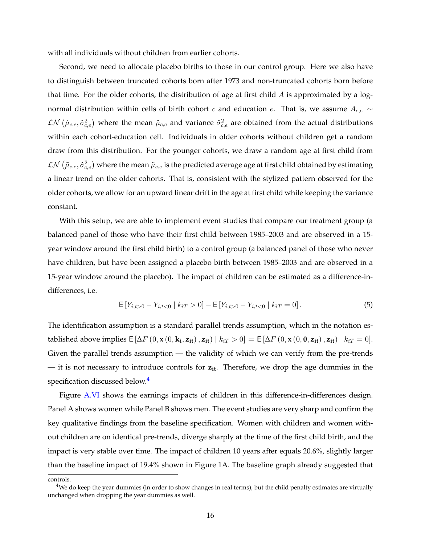with all individuals without children from earlier cohorts.

Second, we need to allocate placebo births to those in our control group. Here we also have to distinguish between truncated cohorts born after 1973 and non-truncated cohorts born before that time. For the older cohorts, the distribution of age at first child  $A$  is approximated by a lognormal distribution within cells of birth cohort c and education e. That is, we assume  $A_{c,e} \sim$  $\mathcal{LN}\left(\hat{\mu}_{c,e},\hat{\sigma}_{c,e}^2\right)$  where the mean  $\hat{\mu}_{c,e}$  and variance  $\hat{\sigma}_{c,e}^2$  are obtained from the actual distributions within each cohort-education cell. Individuals in older cohorts without children get a random draw from this distribution. For the younger cohorts, we draw a random age at first child from  $\cal LN\left(\tilde\mu_{c,e},\hat\sigma_{c,e}^2\right)$  where the mean  $\tilde\mu_{c,e}$  is the predicted average age at first child obtained by estimating a linear trend on the older cohorts. That is, consistent with the stylized pattern observed for the older cohorts, we allow for an upward linear drift in the age at first child while keeping the variance constant.

With this setup, we are able to implement event studies that compare our treatment group (a balanced panel of those who have their first child between 1985–2003 and are observed in a 15 year window around the first child birth) to a control group (a balanced panel of those who never have children, but have been assigned a placebo birth between 1985–2003 and are observed in a 15-year window around the placebo). The impact of children can be estimated as a difference-indifferences, i.e.

$$
\mathsf{E}\left[Y_{i,t>0} - Y_{i,t<0} \mid k_{iT} > 0\right] - \mathsf{E}\left[Y_{i,t>0} - Y_{i,t<0} \mid k_{iT} = 0\right].\tag{5}
$$

The identification assumption is a standard parallel trends assumption, which in the notation established above implies  $\mathsf{E}\left[\Delta F(0, \mathbf{x}(0, \mathbf{k_i}, \mathbf{z_{it}}), \mathbf{z_{it}}) \mid k_{iT} > 0\right] = \mathsf{E}\left[\Delta F(0, \mathbf{x}(0, 0, \mathbf{z_{it}}), \mathbf{z_{it}}) \mid k_{iT} = 0\right].$ Given the parallel trends assumption — the validity of which we can verify from the pre-trends — it is not necessary to introduce controls for **zit**. Therefore, we drop the age dummies in the specification discussed below.<sup>[4](#page-15-0)</sup>

Figure [A.VI](#page-6-0) shows the earnings impacts of children in this difference-in-differences design. Panel A shows women while Panel B shows men. The event studies are very sharp and confirm the key qualitative findings from the baseline specification. Women with children and women without children are on identical pre-trends, diverge sharply at the time of the first child birth, and the impact is very stable over time. The impact of children 10 years after equals 20.6%, slightly larger than the baseline impact of 19.4% shown in Figure 1A. The baseline graph already suggested that

controls.

<span id="page-15-0"></span> $<sup>4</sup>$ We do keep the year dummies (in order to show changes in real terms), but the child penalty estimates are virtually</sup> unchanged when dropping the year dummies as well.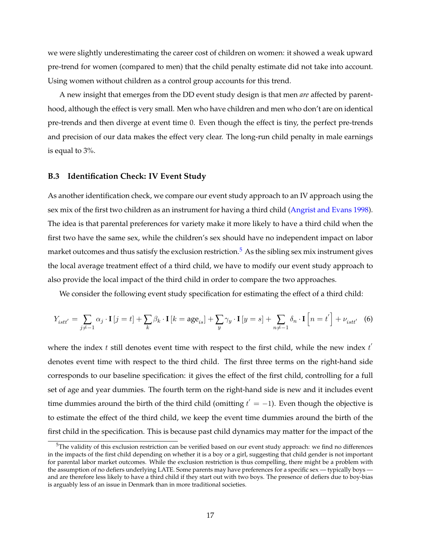we were slightly underestimating the career cost of children on women: it showed a weak upward pre-trend for women (compared to men) that the child penalty estimate did not take into account. Using women without children as a control group accounts for this trend.

A new insight that emerges from the DD event study design is that men *are* affected by parenthood, although the effect is very small. Men who have children and men who don't are on identical pre-trends and then diverge at event time 0. Even though the effect is tiny, the perfect pre-trends and precision of our data makes the effect very clear. The long-run child penalty in male earnings is equal to 3%.

### <span id="page-16-1"></span>**B.3 Identification Check: IV Event Study**

As another identification check, we compare our event study approach to an IV approach using the sex mix of the first two children as an instrument for having a third child [\(Angrist and Evans](#page-18-0) [1998\)](#page-18-0). The idea is that parental preferences for variety make it more likely to have a third child when the first two have the same sex, while the children's sex should have no independent impact on labor market outcomes and thus satisfy the exclusion restriction.<sup>[5](#page-16-2)</sup> As the sibling sex mix instrument gives the local average treatment effect of a third child, we have to modify our event study approach to also provide the local impact of the third child in order to compare the two approaches.

We consider the following event study specification for estimating the effect of a third child:

<span id="page-16-0"></span>
$$
Y_{istt'} = \sum_{j \neq -1} \alpha_j \cdot \mathbf{I} \left[ j = t \right] + \sum_k \beta_k \cdot \mathbf{I} \left[ k = \text{age}_{is} \right] + \sum_y \gamma_y \cdot \mathbf{I} \left[ y = s \right] + \sum_{n \neq -1} \delta_n \cdot \mathbf{I} \left[ n = t' \right] + \nu_{istt'} \tag{6}
$$

where the index t still denotes event time with respect to the first child, while the new index  $t^{'}$ denotes event time with respect to the third child. The first three terms on the right-hand side corresponds to our baseline specification: it gives the effect of the first child, controlling for a full set of age and year dummies. The fourth term on the right-hand side is new and it includes event time dummies around the birth of the third child (omitting  $t^{'}=-1$ ). Even though the objective is to estimate the effect of the third child, we keep the event time dummies around the birth of the first child in the specification. This is because past child dynamics may matter for the impact of the

<span id="page-16-2"></span> $5$ The validity of this exclusion restriction can be verified based on our event study approach: we find no differences in the impacts of the first child depending on whether it is a boy or a girl, suggesting that child gender is not important for parental labor market outcomes. While the exclusion restriction is thus compelling, there might be a problem with the assumption of no defiers underlying LATE. Some parents may have preferences for a specific sex — typically boys and are therefore less likely to have a third child if they start out with two boys. The presence of defiers due to boy-bias is arguably less of an issue in Denmark than in more traditional societies.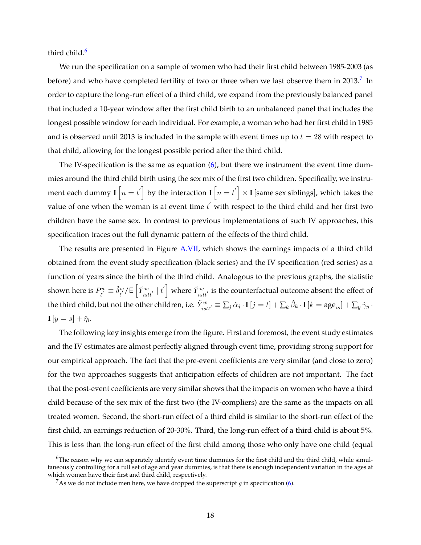third child.<sup>[6](#page-17-0)</sup>

We run the specification on a sample of women who had their first child between 1985-2003 (as before) and who have completed fertility of two or three when we last observe them in 2013. $^7\,$  $^7\,$  $^7\,$  In order to capture the long-run effect of a third child, we expand from the previously balanced panel that included a 10-year window after the first child birth to an unbalanced panel that includes the longest possible window for each individual. For example, a woman who had her first child in 1985 and is observed until 2013 is included in the sample with event times up to  $t = 28$  with respect to that child, allowing for the longest possible period after the third child.

The IV-specification is the same as equation [\(6\)](#page-16-0), but there we instrument the event time dummies around the third child birth using the sex mix of the first two children. Specifically, we instrument each dummy  $\mathbf{I}\left[n=t^{\prime}\right]$  by the interaction  $\mathbf{I}\left[n=t^{\prime}\right]\times\mathbf{I}$  [same sex siblings], which takes the value of one when the woman is at event time  $t^{'}$  with respect to the third child and her first two children have the same sex. In contrast to previous implementations of such IV approaches, this specification traces out the full dynamic pattern of the effects of the third child.

The results are presented in Figure [A.VII,](#page-7-0) which shows the earnings impacts of a third child obtained from the event study specification (black series) and the IV specification (red series) as a function of years since the birth of the third child. Analogous to the previous graphs, the statistic shown here is  $P_{t}^{w}$  $\hat{b}^w_{t'} \equiv \hat{\delta}^w_{t'}$  $\left[\tilde{Y}_{istt'}^w \mid t'\right]$  where  $\tilde{Y}_{istt'}^w$  is the counterfactual outcome absent the effect of the third child, but not the other children, i.e.  $\tilde{Y}^w_{istit'}\equiv \sum_j \hat{\alpha}_j\cdot\mathbf{I}\left[j=t\right]+\sum_k \hat{\beta}_k\cdot\mathbf{I}\left[k=\text{age}_{is}\right]+\sum_y \hat{\gamma}_y\cdot\mathbf{I}\left[k=\text{age}_{is}\right]$  $\mathbf{I}\left[y=s\right]+\hat{\eta}_i.$ 

The following key insights emerge from the figure. First and foremost, the event study estimates and the IV estimates are almost perfectly aligned through event time, providing strong support for our empirical approach. The fact that the pre-event coefficients are very similar (and close to zero) for the two approaches suggests that anticipation effects of children are not important. The fact that the post-event coefficients are very similar shows that the impacts on women who have a third child because of the sex mix of the first two (the IV-compliers) are the same as the impacts on all treated women. Second, the short-run effect of a third child is similar to the short-run effect of the first child, an earnings reduction of 20-30%. Third, the long-run effect of a third child is about 5%. This is less than the long-run effect of the first child among those who only have one child (equal

<span id="page-17-0"></span> $6$ The reason why we can separately identify event time dummies for the first child and the third child, while simultaneously controlling for a full set of age and year dummies, is that there is enough independent variation in the ages at which women have their first and third child, respectively.

<span id="page-17-1"></span><sup>&</sup>lt;sup>7</sup>As we do not include men here, we have dropped the superscript g in specification [\(6\)](#page-16-0).